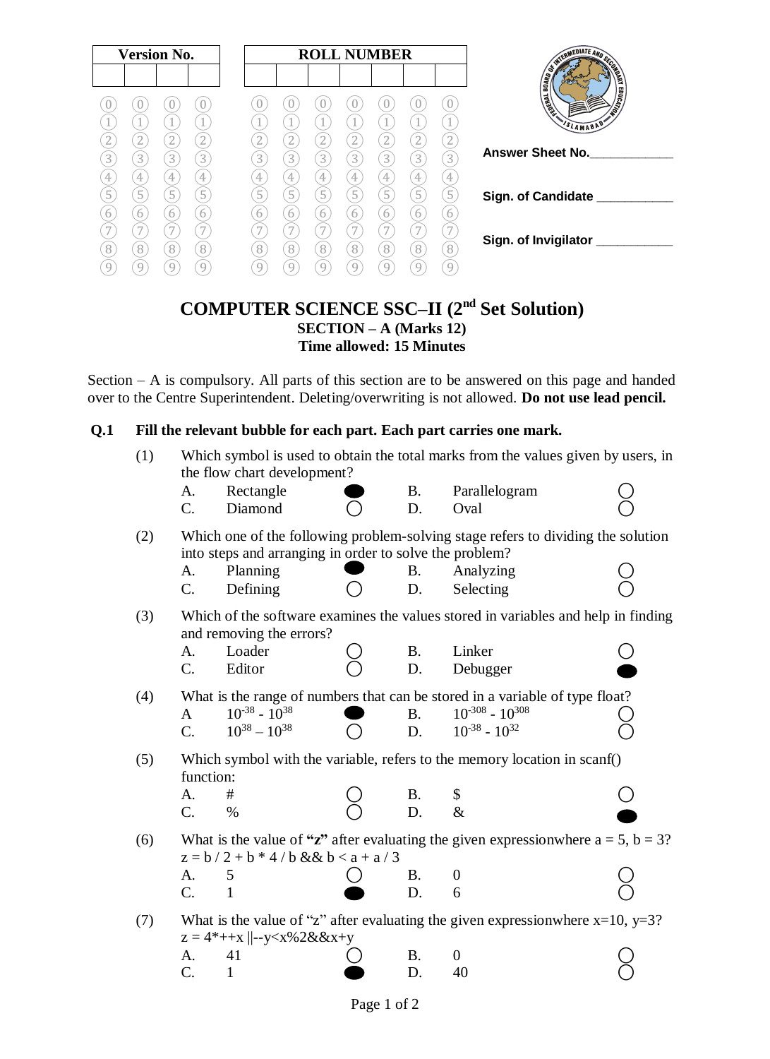| <b>Version No.</b>                  |                                                                                                                                                      |                                                                         | <b>ROLL NUMBER</b>                                                             |                                                                                                                |                                                          |                                                      | TERMEDIATE AND SEX                                             |                                                                                                                            |
|-------------------------------------|------------------------------------------------------------------------------------------------------------------------------------------------------|-------------------------------------------------------------------------|--------------------------------------------------------------------------------|----------------------------------------------------------------------------------------------------------------|----------------------------------------------------------|------------------------------------------------------|----------------------------------------------------------------|----------------------------------------------------------------------------------------------------------------------------|
| $\mathbf{3}^{\mathsf{I}}$<br>4<br>5 | U<br>U<br>$\overline{2}$<br>$\overline{2}$<br>$\overline{3}$<br>$\mathcal{E}$<br>$\ensuremath{4}$<br>4<br>$\overline{5}$<br>$\overline{5}$<br>6<br>6 | $\mathbf{2}$<br>$\overline{3}$<br>$\overline{4}$<br>$\overline{5}$<br>6 | $\mathbf{2}$<br>$\mathbf{2}$<br>3<br>$3^{\circ}$<br>4<br>4<br>5<br>5<br>6<br>6 | $\overline{2}$<br>2<br>$\left 3\right\rangle$<br>$\mathfrak{Z}$<br>4<br>4<br>$\overline{5}$<br>$\sqrt{5}$<br>6 | $\boxed{2}$<br>$\left[3\right]$<br>4<br>$5^{\circ}$<br>6 | $\overline{2}$<br>$3)$<br>$\overline{4}$<br>(5)<br>6 | $\theta$<br>$\left( 2\right)$<br>3<br>4<br>$\overline{5}$<br>6 | ONDRA<br><b>TO DEALER THIS CASE</b><br>$\sqrt{2\pi}$<br>2<br>SLAMABAD'<br><b>Answer Sheet No.</b><br>Sign. of Candidate __ |
| 8<br>9                              | 7<br>7<br>$\begin{matrix} 8 \end{matrix}$<br>8<br>9<br>9                                                                                             | 7<br>$\sqrt{8}$<br>9                                                    | $\overline{\phantom{0}}$<br>8<br>8                                             | $\overline{7}$<br>8<br>8                                                                                       | 7<br>8<br>g                                              | 7<br>8<br>9                                          | 8<br>9                                                         | Sign. of Invigilator                                                                                                       |

# **COMPUTER SCIENCE SSC–II (2nd Set Solution) SECTION – A (Marks 12) Time allowed: 15 Minutes**

Section – A is compulsory. All parts of this section are to be answered on this page and handed over to the Centre Superintendent. Deleting/overwriting is not allowed. **Do not use lead pencil.**

### **Q.1 Fill the relevant bubble for each part. Each part carries one mark.**

| (1) | Which symbol is used to obtain the total marks from the values given by users, in<br>the flow chart development? |                                                                                                                                                                                              |  |           |                                                                                          |  |
|-----|------------------------------------------------------------------------------------------------------------------|----------------------------------------------------------------------------------------------------------------------------------------------------------------------------------------------|--|-----------|------------------------------------------------------------------------------------------|--|
|     | A.                                                                                                               | Rectangle                                                                                                                                                                                    |  | <b>B.</b> | Parallelogram                                                                            |  |
|     | $C_{\cdot}$                                                                                                      | Diamond                                                                                                                                                                                      |  | D.        | Oval                                                                                     |  |
| (2) |                                                                                                                  | into steps and arranging in order to solve the problem?                                                                                                                                      |  |           | Which one of the following problem-solving stage refers to dividing the solution         |  |
|     | A.                                                                                                               | Planning                                                                                                                                                                                     |  | <b>B.</b> | Analyzing                                                                                |  |
|     | $C_{\cdot}$                                                                                                      | Defining                                                                                                                                                                                     |  | D.        | Selecting                                                                                |  |
| (3) |                                                                                                                  | and removing the errors?                                                                                                                                                                     |  |           | Which of the software examines the values stored in variables and help in finding        |  |
|     | A.                                                                                                               | Loader                                                                                                                                                                                       |  | <b>B.</b> | Linker                                                                                   |  |
|     | C.                                                                                                               | Editor                                                                                                                                                                                       |  | D.        | Debugger                                                                                 |  |
| (4) |                                                                                                                  |                                                                                                                                                                                              |  |           | What is the range of numbers that can be stored in a variable of type float?             |  |
|     | $\mathbf{A}$                                                                                                     | $10^{-38} - 10^{38}$                                                                                                                                                                         |  | <b>B.</b> | $10^{-308} - 10^{308}$                                                                   |  |
|     | $\overline{C}$ .                                                                                                 | $10^{38} - 10^{38}$                                                                                                                                                                          |  | D.        | $10^{-38} - 10^{32}$                                                                     |  |
| (5) | function:                                                                                                        |                                                                                                                                                                                              |  |           | Which symbol with the variable, refers to the memory location in scanf()                 |  |
|     | A.                                                                                                               | #                                                                                                                                                                                            |  | <b>B.</b> | \$                                                                                       |  |
|     | C.                                                                                                               | $\%$                                                                                                                                                                                         |  | D.        | $\&$                                                                                     |  |
| (6) |                                                                                                                  | $z = b / 2 + b * 4 / b & & v b < a + a / 3$                                                                                                                                                  |  |           | What is the value of "z" after evaluating the given expression where $a = 5$ , $b = 3$ ? |  |
|     | A.                                                                                                               | 5                                                                                                                                                                                            |  | Β.        | $\theta$                                                                                 |  |
|     | C.                                                                                                               | $\mathbf{1}$                                                                                                                                                                                 |  | D.        | 6                                                                                        |  |
| (7) |                                                                                                                  | $z = 4*++x$   --y <x%2&&x+y< td=""><td></td><td></td><td>What is the value of "z" after evaluating the given expression where <math>x=10</math>, <math>y=3</math>?</td><td></td></x%2&&x+y<> |  |           | What is the value of "z" after evaluating the given expression where $x=10$ , $y=3$ ?    |  |
|     | A.                                                                                                               | 41                                                                                                                                                                                           |  | <b>B.</b> | $\overline{0}$                                                                           |  |
|     | $\overline{C}$ .                                                                                                 | $\mathbf{1}$                                                                                                                                                                                 |  | D.        | 40                                                                                       |  |
|     |                                                                                                                  |                                                                                                                                                                                              |  |           |                                                                                          |  |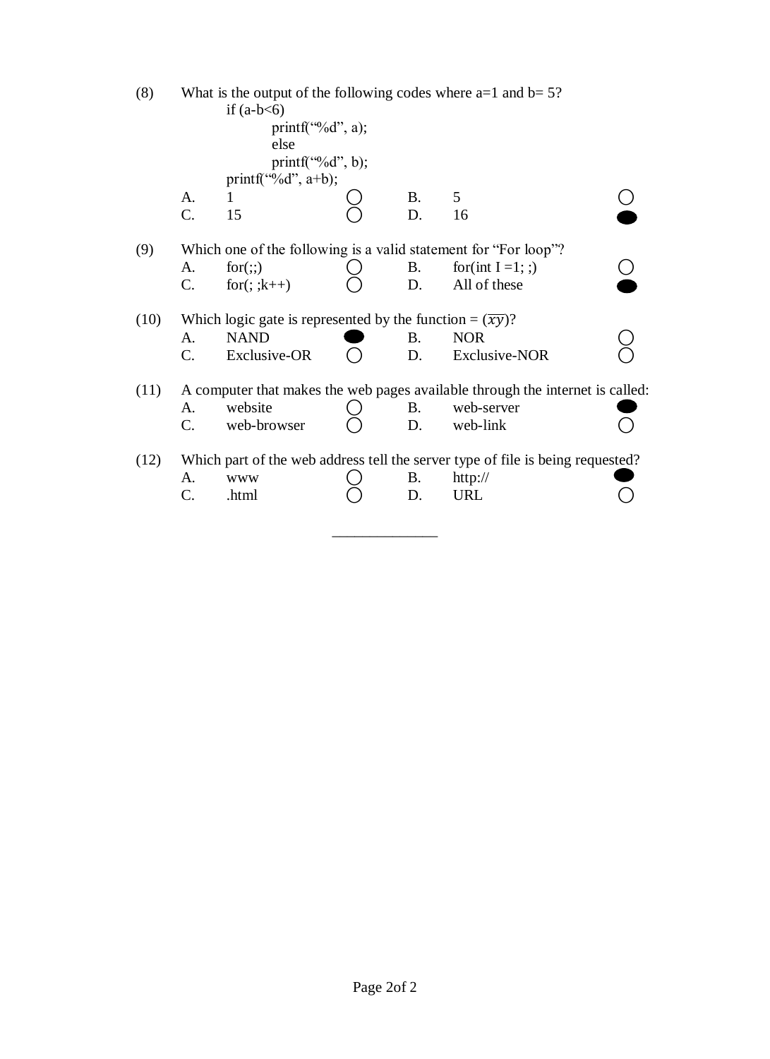| (8)  | What is the output of the following codes where $a=1$ and $b=5$ ?<br>if $(a-b<6)$ |                                                                       |  |           |                                                                                |  |  |  |
|------|-----------------------------------------------------------------------------------|-----------------------------------------------------------------------|--|-----------|--------------------------------------------------------------------------------|--|--|--|
|      | $print(f''\&d", a);$                                                              |                                                                       |  |           |                                                                                |  |  |  |
|      |                                                                                   | else                                                                  |  |           |                                                                                |  |  |  |
|      |                                                                                   | printf("%d", b);                                                      |  |           |                                                                                |  |  |  |
|      |                                                                                   | printf("%d", $a+b$ );                                                 |  |           |                                                                                |  |  |  |
|      | A.                                                                                | 1                                                                     |  | <b>B.</b> | 5                                                                              |  |  |  |
|      | C.                                                                                | 15                                                                    |  | D.        | 16                                                                             |  |  |  |
| (9)  |                                                                                   |                                                                       |  |           | Which one of the following is a valid statement for "For loop"?                |  |  |  |
|      | A.                                                                                | for(:,)                                                               |  | Β.        | for(int $I = 1$ ; ;)                                                           |  |  |  |
|      | C.                                                                                | for $($ ; ; $k++$ )                                                   |  | D.        | All of these                                                                   |  |  |  |
| (10) |                                                                                   | Which logic gate is represented by the function = $(\overline{xy})$ ? |  |           |                                                                                |  |  |  |
|      | A.                                                                                | <b>NAND</b>                                                           |  | B.        | <b>NOR</b>                                                                     |  |  |  |
|      | C.                                                                                | Exclusive-OR                                                          |  | D.        | <b>Exclusive-NOR</b>                                                           |  |  |  |
| (11) |                                                                                   |                                                                       |  |           | A computer that makes the web pages available through the internet is called:  |  |  |  |
|      | A.                                                                                | website                                                               |  | B.        | web-server                                                                     |  |  |  |
|      | C.                                                                                | web-browser                                                           |  | D.        | web-link                                                                       |  |  |  |
| (12) |                                                                                   |                                                                       |  |           | Which part of the web address tell the server type of file is being requested? |  |  |  |
|      | A.                                                                                | <b>WWW</b>                                                            |  | В.        | http://                                                                        |  |  |  |
|      | C.                                                                                | .html                                                                 |  | D.        | <b>URL</b>                                                                     |  |  |  |
|      |                                                                                   |                                                                       |  |           |                                                                                |  |  |  |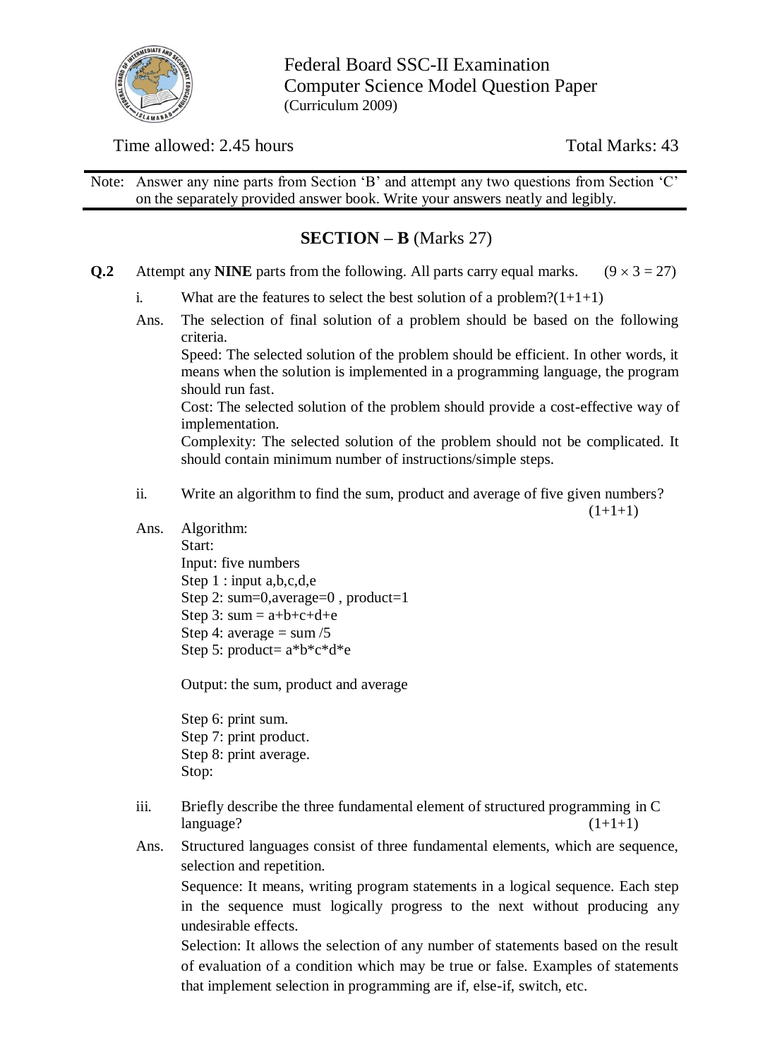

Federal Board SSC-II Examination Computer Science Model Question Paper (Curriculum 2009)

## Time allowed: 2.45 hours Total Marks: 43

Note: Answer any nine parts from Section 'B' and attempt any two questions from Section 'C' on the separately provided answer book. Write your answers neatly and legibly.

# **SECTION – B** (Marks 27)

- **Q.2** Attempt any **NINE** parts from the following. All parts carry equal marks.  $(9 \times 3 = 27)$ 
	- i. What are the features to select the best solution of a problem? $(1+1+1)$
	- Ans. The selection of final solution of a problem should be based on the following criteria.

Speed: The selected solution of the problem should be efficient. In other words, it means when the solution is implemented in a programming language, the program should run fast.

Cost: The selected solution of the problem should provide a cost-effective way of implementation.

Complexity: The selected solution of the problem should not be complicated. It should contain minimum number of instructions/simple steps.

ii. Write an algorithm to find the sum, product and average of five given numbers?

 $(1+1+1)$ 

Ans. Algorithm: Start: Input: five numbers Step 1 : input a, b, c, d, e Step 2: sum=0,average=0 , product=1 Step 3:  $sum = a+b+c+d+e$ Step 4: average  $=$  sum  $/5$ Step 5: product=  $a^*b^*c^*d^*e$ 

Output: the sum, product and average

Step 6: print sum. Step 7: print product. Step 8: print average. Stop:

- iii. Briefly describe the three fundamental element of structured programming in C  $language?$   $(1+1+1)$
- Ans. Structured languages consist of three fundamental elements, which are sequence, selection and repetition.

Sequence: It means, writing program statements in a logical sequence. Each step in the sequence must logically progress to the next without producing any undesirable effects.

Selection: It allows the selection of any number of statements based on the result of evaluation of a condition which may be true or false. Examples of statements that implement selection in programming are if, else-if, switch, etc.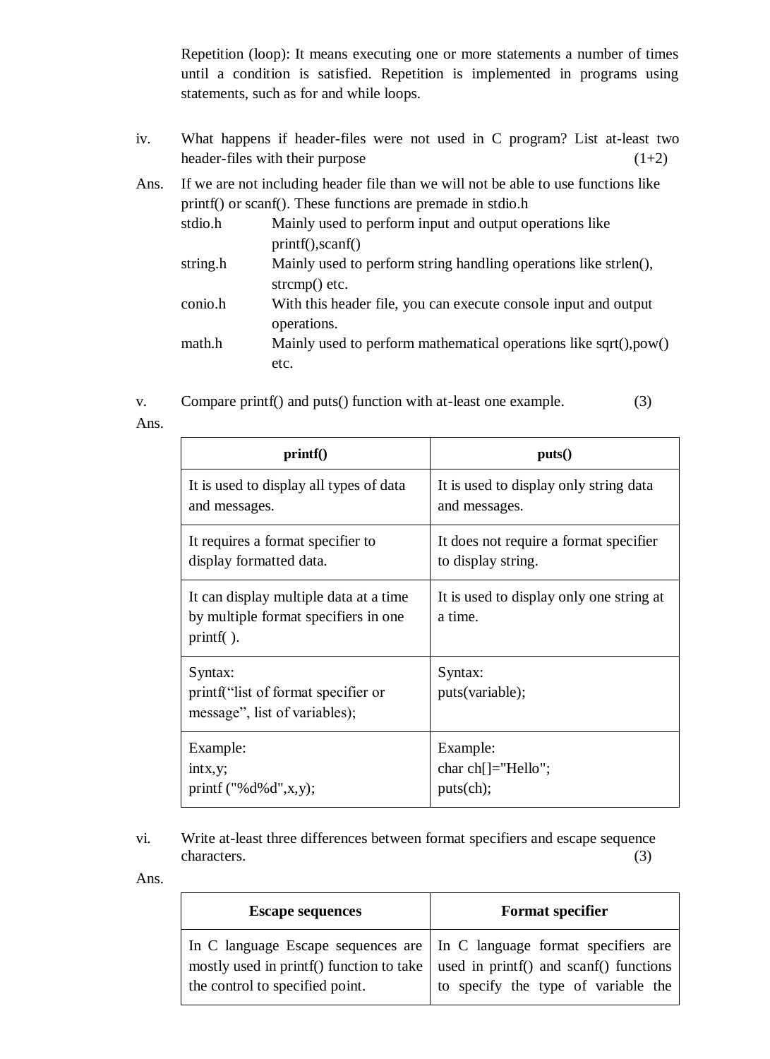Repetition (loop): It means executing one or more statements a number of times until a condition is satisfied. Repetition is implemented in programs using statements, such as for and while loops.

- iv. What happens if header-files were not used in C program? List at-least two header-files with their purpose  $(1+2)$
- Ans. If we are not including header file than we will not be able to use functions like printf() or scanf(). These functions are premade in stdio.h

| stdio.h  | Mainly used to perform input and output operations like           |
|----------|-------------------------------------------------------------------|
|          | print(f), scan(f)                                                 |
| string.h | Mainly used to perform string handling operations like strlen(),  |
|          | strcmp() etc.                                                     |
| conio.h  | With this header file, you can execute console input and output   |
|          | operations.                                                       |
| math.h   | Mainly used to perform mathematical operations like sqrt(), pow() |
|          | etc.                                                              |

v. Compare printf() and puts() function with at-least one example. (3)

Ans.

| print()                                                                                     | puts()                                              |
|---------------------------------------------------------------------------------------------|-----------------------------------------------------|
| It is used to display all types of data                                                     | It is used to display only string data              |
| and messages.                                                                               | and messages.                                       |
| It requires a format specifier to                                                           | It does not require a format specifier              |
| display formatted data.                                                                     | to display string.                                  |
| It can display multiple data at a time<br>by multiple format specifiers in one<br>printf(). | It is used to display only one string at<br>a time. |
| Syntax:<br>printf ("list of format specifier or<br>message", list of variables);            | Syntax:<br>puts(variable);                          |
| Example:                                                                                    | Example:                                            |
| intx, y;                                                                                    | char ch[]="Hello";                                  |
| printf $("%d%d", x, y);$                                                                    | puts(ch);                                           |

vi. Write at-least three differences between format specifiers and escape sequence characters. (3)

Ans.

| <b>Escape sequences</b>         | <b>Format specifier</b>                                                                                                                                                                                    |
|---------------------------------|------------------------------------------------------------------------------------------------------------------------------------------------------------------------------------------------------------|
| the control to specified point. | In C language Escape sequences are   In C language format specifiers are<br>mostly used in printf() function to take $\vert$ used in printf() and scanf() functions<br>to specify the type of variable the |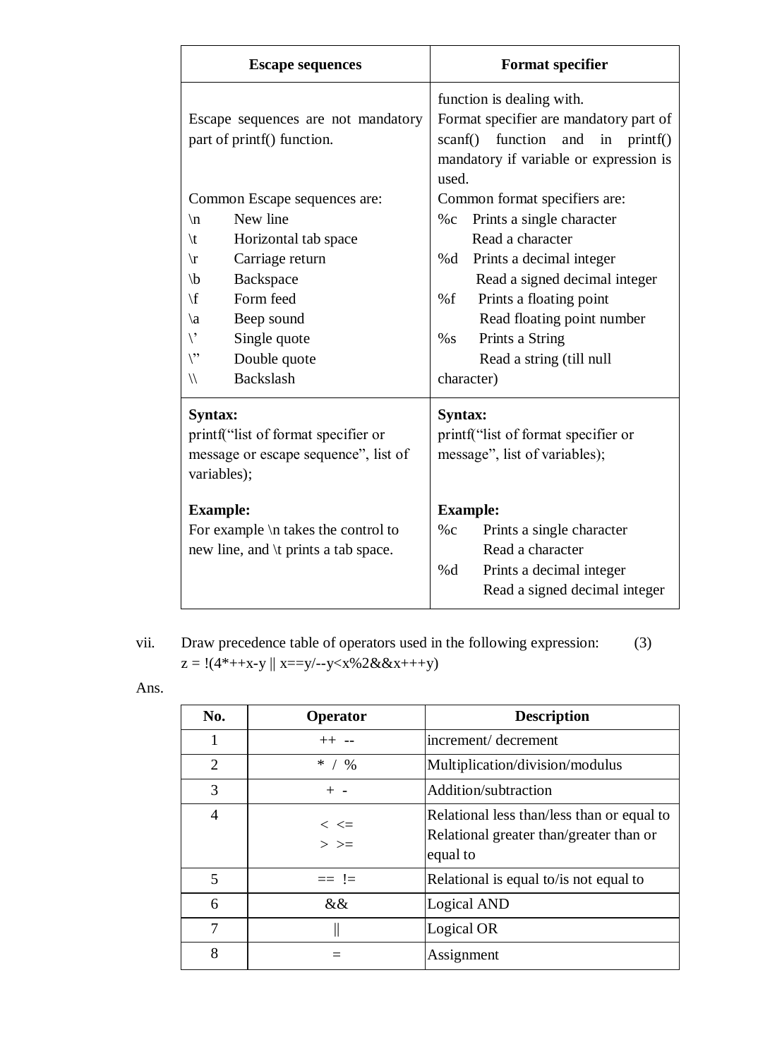| <b>Escape sequences</b>                                                                                                                                                                                           |                                                                                                                                                                                 |                                                                                                                                                                                                                                                                                                     | <b>Format specifier</b>                                                                                               |  |  |
|-------------------------------------------------------------------------------------------------------------------------------------------------------------------------------------------------------------------|---------------------------------------------------------------------------------------------------------------------------------------------------------------------------------|-----------------------------------------------------------------------------------------------------------------------------------------------------------------------------------------------------------------------------------------------------------------------------------------------------|-----------------------------------------------------------------------------------------------------------------------|--|--|
| Escape sequences are not mandatory<br>part of printf() function.                                                                                                                                                  |                                                                                                                                                                                 | function is dealing with.<br>Format specifier are mandatory part of<br>function<br>scanf()<br>and<br>in<br>print()<br>mandatory if variable or expression is<br>used.                                                                                                                               |                                                                                                                       |  |  |
| $\ln$<br>$\setminus t$<br>$\sqrt{r}$<br>$\mathbf{b}$<br>$\setminus f$<br>$\langle a$<br>$\backslash$<br>$\backslash$ "<br>$\sqrt{}$                                                                               | Common Escape sequences are:<br>New line<br>Horizontal tab space<br>Carriage return<br>Backspace<br>Form feed<br>Beep sound<br>Single quote<br>Double quote<br><b>Backslash</b> | Common format specifiers are:<br>Prints a single character<br>$\%c$<br>Read a character<br>Prints a decimal integer<br>%d<br>Read a signed decimal integer<br>% $f$<br>Prints a floating point<br>Read floating point number<br>Prints a String<br>$\%$ S<br>Read a string (till null<br>character) |                                                                                                                       |  |  |
| <b>Syntax:</b><br>printf("list of format specifier or<br>message or escape sequence", list of<br>variables);<br><b>Example:</b><br>For example $\in$ takes the control to<br>new line, and \t prints a tab space. |                                                                                                                                                                                 | <b>Syntax:</b><br><b>Example:</b><br>$\%c$                                                                                                                                                                                                                                                          | printf("list of format specifier or<br>message", list of variables);<br>Prints a single character<br>Read a character |  |  |
|                                                                                                                                                                                                                   |                                                                                                                                                                                 | %d                                                                                                                                                                                                                                                                                                  | Prints a decimal integer<br>Read a signed decimal integer                                                             |  |  |

vii. Draw precedence table of operators used in the following expression: (3)  $z = !(4^*++x-y \mid x==y/-y$ 

| .,<br>۰.<br>× |
|---------------|
|               |

| No.            | Operator                       | <b>Description</b>                                                                                |
|----------------|--------------------------------|---------------------------------------------------------------------------------------------------|
| 1              | $++ - -$                       | increment/decrement                                                                               |
| $\overline{2}$ | * $/$ %                        | Multiplication/division/modulus                                                                   |
| 3              | $+ -$                          | Addition/subtraction                                                                              |
| $\overline{4}$ | $\,<\,$ $\!<$ $\!=$<br>$>$ $>$ | Relational less than/less than or equal to<br>Relational greater than/greater than or<br>equal to |
| 5              | $==$ !=                        | Relational is equal to/is not equal to                                                            |
| 6              |                                | Logical AND                                                                                       |
| 7              |                                | Logical OR                                                                                        |
| 8              |                                | Assignment                                                                                        |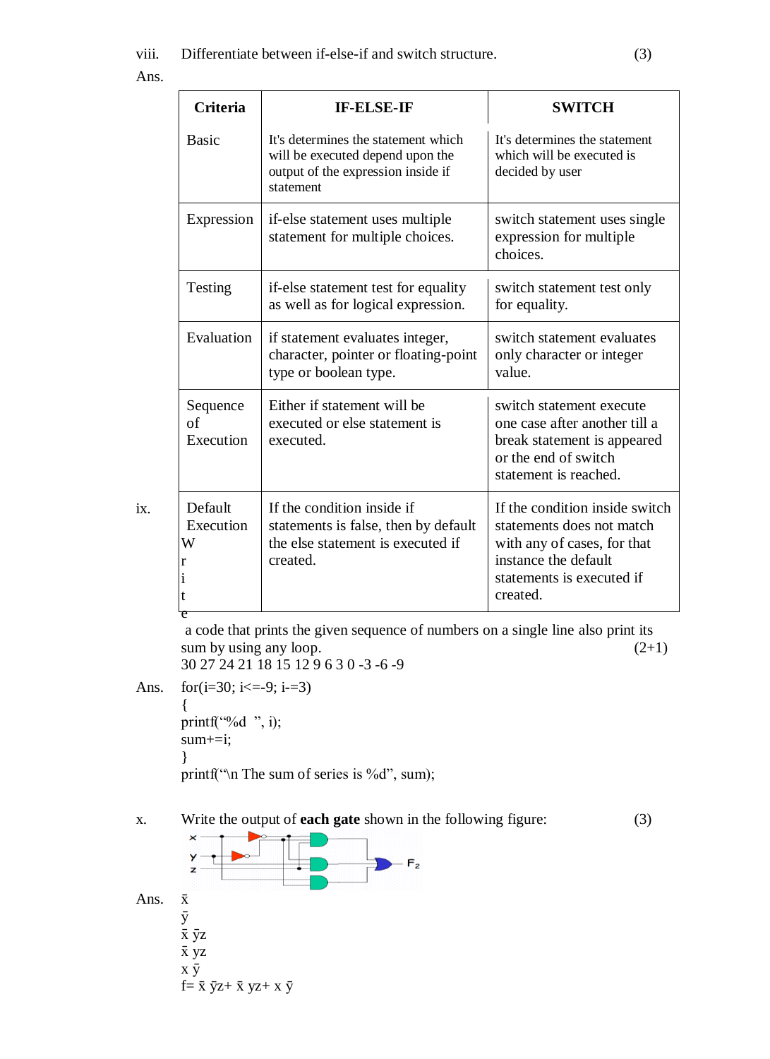ix.

| <b>Criteria</b>             | <b>IF-ELSE-IF</b>                                                                                                          | <b>SWITCH</b>                                                                                                                                               |
|-----------------------------|----------------------------------------------------------------------------------------------------------------------------|-------------------------------------------------------------------------------------------------------------------------------------------------------------|
| <b>Basic</b>                | It's determines the statement which<br>will be executed depend upon the<br>output of the expression inside if<br>statement | It's determines the statement<br>which will be executed is<br>decided by user                                                                               |
| Expression                  | if-else statement uses multiple<br>statement for multiple choices.                                                         | switch statement uses single<br>expression for multiple<br>choices.                                                                                         |
| Testing                     | if-else statement test for equality<br>as well as for logical expression.                                                  | switch statement test only<br>for equality.                                                                                                                 |
| Evaluation                  | if statement evaluates integer,<br>character, pointer or floating-point<br>type or boolean type.                           | switch statement evaluates<br>only character or integer<br>value.                                                                                           |
| Sequence<br>of<br>Execution | Either if statement will be<br>executed or else statement is<br>executed.                                                  | switch statement execute<br>one case after another till a<br>break statement is appeared<br>or the end of switch<br>statement is reached.                   |
| Default<br>Execution<br>W   | If the condition inside if<br>statements is false, then by default<br>the else statement is executed if<br>created.        | If the condition inside switch<br>statements does not match<br>with any of cases, for that<br>instance the default<br>statements is executed if<br>created. |

a code that prints the given sequence of numbers on a single line also print its sum by using any loop.  $(2+1)$ 30 27 24 21 18 15 12 9 6 3 0 -3 -6 -9

```
Ans. for (i=30; i<=9; i=3){
      printf("%d ", i);
      sum+=i;
       }
```
printf("\n The sum of series is %d", sum);

### x. Write the output of **each gate** shown in the following figure: (3)

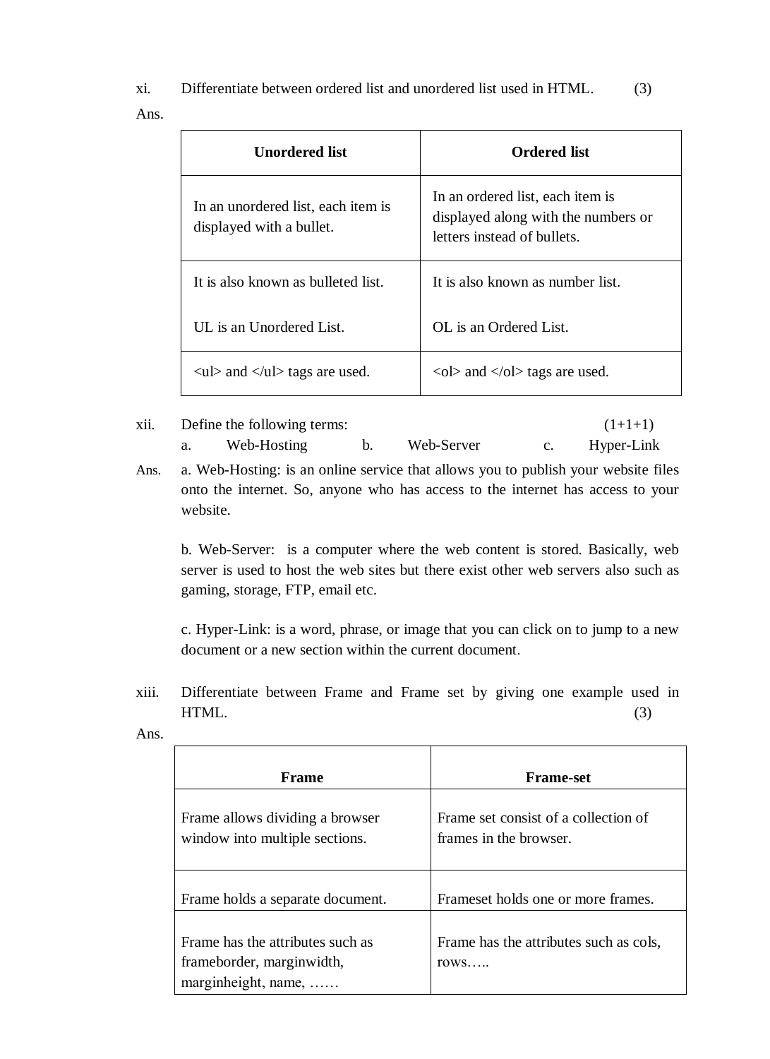xi. Differentiate between ordered list and unordered list used in HTML. (3) Ans.

 $\mathsf{T}$ 

| Unordered list                                                    | <b>Ordered list</b>                                                                                    |
|-------------------------------------------------------------------|--------------------------------------------------------------------------------------------------------|
| In an unordered list, each item is<br>displayed with a bullet.    | In an ordered list, each item is<br>displayed along with the numbers or<br>letters instead of bullets. |
| It is also known as bulleted list.                                | It is also known as number list.                                                                       |
| UL is an Unordered List.                                          | OL is an Ordered List.                                                                                 |
| $\langle$ ul $\rangle$ and $\langle$ /ul $\rangle$ tags are used. | $\langle$ ol $>$ and $\langle$ /ol $>$ tags are used.                                                  |

# xii. Define the following terms:  $(1+1+1)$ a. Web-Hosting b. Web-Server c. Hyper-Link

Ans. a. Web-Hosting: is an online service that allows you to publish your website files onto the internet. So, anyone who has access to the internet has access to your website.

b. Web-Server: is a computer where the web content is stored. Basically, web server is used to host the web sites but there exist other web servers also such as gaming, storage, FTP, email etc.

c. Hyper-Link: is a word, phrase, or image that you can click on to jump to a new document or a new section within the current document.

xiii. Differentiate between Frame and Frame set by giving one example used in  $HTML.$  (3)

| Frame                                                                                | <b>Frame-set</b>                                               |
|--------------------------------------------------------------------------------------|----------------------------------------------------------------|
| Frame allows dividing a browser<br>window into multiple sections.                    | Frame set consist of a collection of<br>frames in the browser. |
| Frame holds a separate document.                                                     | Frameset holds one or more frames.                             |
| Frame has the attributes such as<br>frameborder, marginwidth,<br>marginheight, name, | Frame has the attributes such as cols,<br>rows                 |

Ans.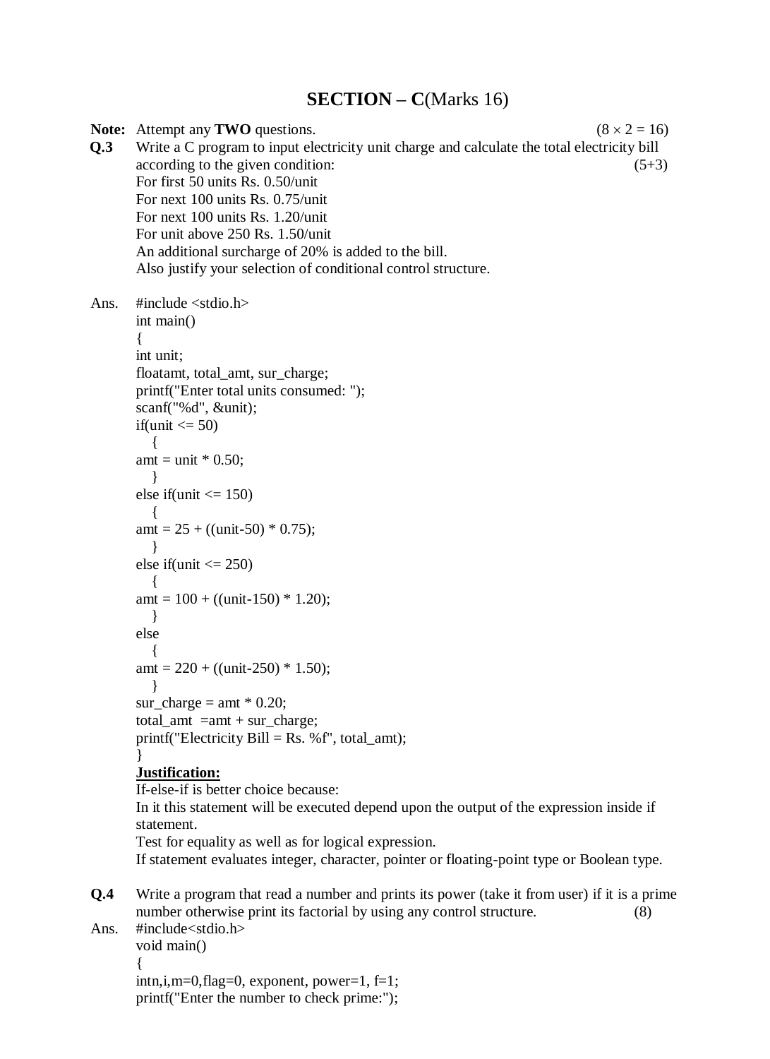# **SECTION – C**(Marks 16)

**Note:** Attempt any **TWO** questions. (8  $\times$  2 = 16) **Q.3** Write a C program to input electricity unit charge and calculate the total electricity bill  $\alpha$  according to the given condition: (5+3) For first 50 units Rs. 0.50/unit For next 100 units Rs. 0.75/unit For next 100 units Rs. 1.20/unit For unit above 250 Rs. 1.50/unit An additional surcharge of 20% is added to the bill. Also justify your selection of conditional control structure. Ans.  $\#$ include  $\lt$ stdio.h $>$ int main() { int unit; floatamt, total\_amt, sur\_charge; printf("Enter total units consumed: "); scanf("%d", &unit); if(unit  $\leq$  50) { amt = unit  $*$  0.50; } else if(unit  $\leq$  150)  $\{$ amt =  $25 + ((unit-50) * 0.75);$  } else if(unit  $\leq$  250)  $\{$ amt =  $100 + ((unit-150) * 1.20);$  } else  $\mathbf{I}$ amt =  $220 + ((unit-250) * 1.50);$  } sur\_charge = amt  $*$  0.20;  $total\_amt =amt + sur\_charge;$ printf("Electricity Bill = Rs. % $f$ ", total amt); } **Justification:** If-else-if is better choice because: In it this statement will be executed depend upon the output of the expression inside if statement. Test for equality as well as for logical expression. If statement evaluates integer, character, pointer or floating-point type or Boolean type. **Q.4** Write a program that read a number and prints its power (take it from user) if it is a prime number otherwise print its factorial by using any control structure. (8) Ans. #include<stdio.h>

void main() {  $\{immin, i, m=0, flag=0, exponent, power=1, f=1\}$ printf("Enter the number to check prime:");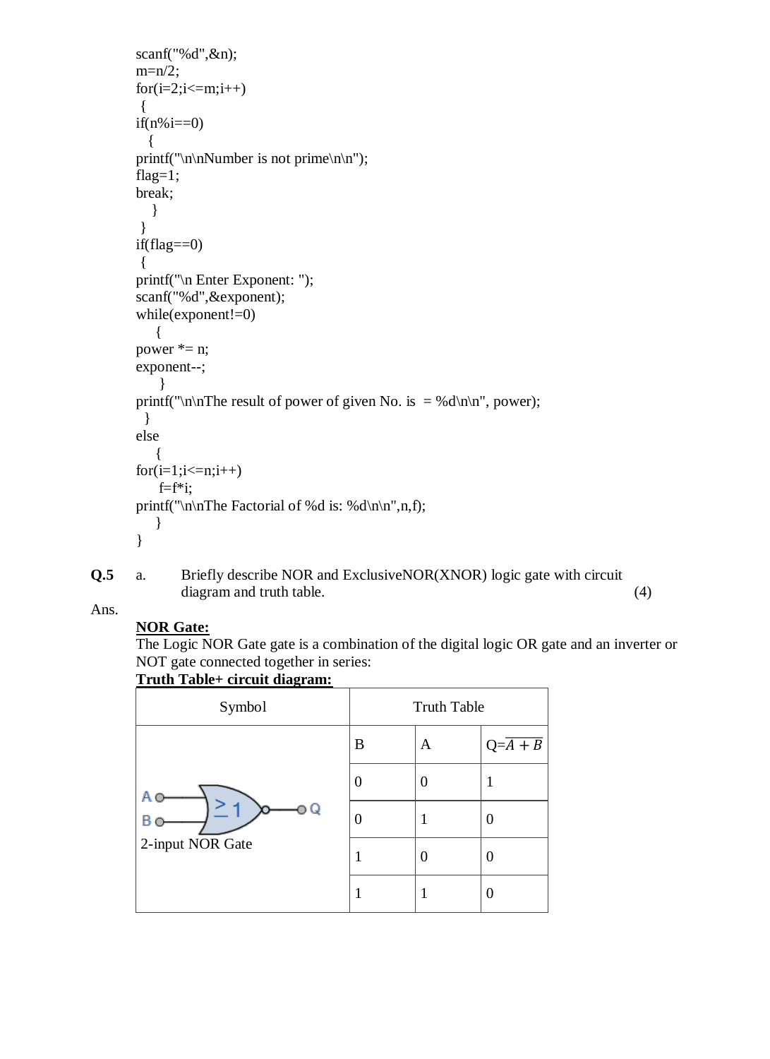```
scanf("%d",&n); 
m=n/2;
for (i=2; i<=m; i++){ 
if(n\%i==0) { 
printf("\n\nNumber is not prime\n\n");
flag=1;
break; 
   } 
} 
if(flag==0){
printf("\n Enter Exponent: ");
scanf("%d",&exponent);
while(exponent!=0)
    {
power * = n;
exponent--;
     }
printf("\n\nThe result of power of given No. is = %d\n\n", power);
  }
else
    {
for(i=1;i<=n;i++)f=f^*i;printf("\n\nThe Factorial of %d is: %d\n\n",n,f);
    }
}
```
**Q.5** a. Briefly describe NOR and ExclusiveNOR(XNOR) logic gate with circuit diagram and truth table. (4)

# Ans.

**NOR Gate:** The Logic NOR Gate gate is a combination of the digital logic OR gate and an inverter or NOT gate connected together in series:

### **Truth Table+ circuit diagram:**

| Symbol                     | <b>Truth Table</b> |   |                        |
|----------------------------|--------------------|---|------------------------|
| Q<br>Β<br>2-input NOR Gate | B                  | A | $Q = \overline{A + B}$ |
|                            | U                  | 0 |                        |
|                            | 0                  |   | 0                      |
|                            |                    | 0 | 0                      |
|                            |                    |   |                        |